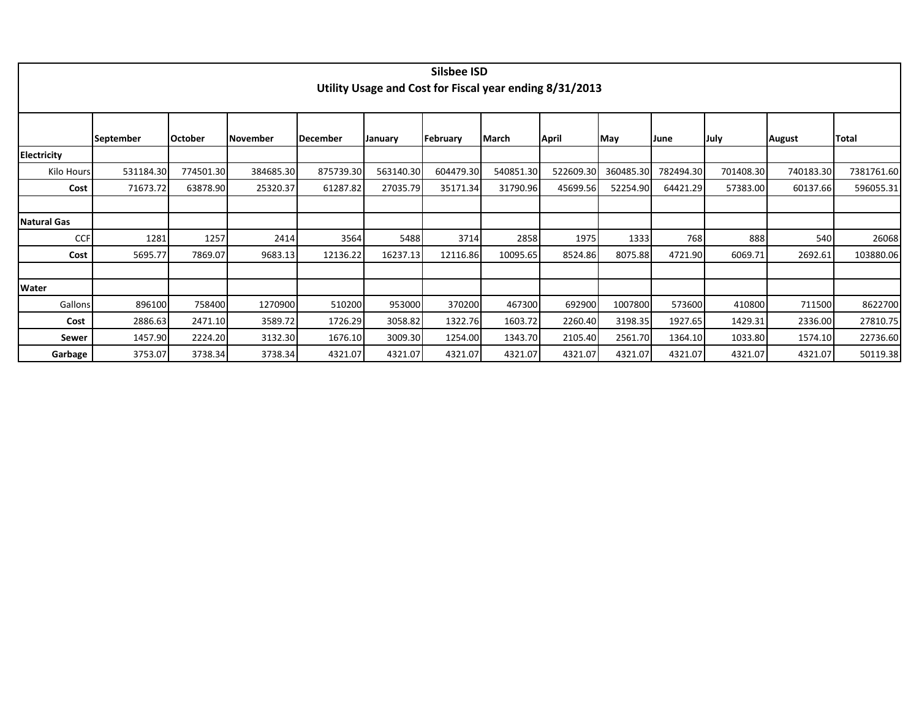|                    | Silsbee ISD<br>Utility Usage and Cost for Fiscal year ending 8/31/2013 |           |                 |                 |           |           |              |           |           |           |           |               |            |  |  |
|--------------------|------------------------------------------------------------------------|-----------|-----------------|-----------------|-----------|-----------|--------------|-----------|-----------|-----------|-----------|---------------|------------|--|--|
|                    | September                                                              | October   | <b>November</b> | <b>December</b> | January   | February  | <b>March</b> | April     | May       | June      | July      | <b>August</b> | Total      |  |  |
| <b>Electricity</b> |                                                                        |           |                 |                 |           |           |              |           |           |           |           |               |            |  |  |
| Kilo Hours         | 531184.30                                                              | 774501.30 | 384685.30       | 875739.30       | 563140.30 | 604479.30 | 540851.30    | 522609.30 | 360485.30 | 782494.30 | 701408.30 | 740183.30     | 7381761.60 |  |  |
| Cost               | 71673.72                                                               | 63878.90  | 25320.37        | 61287.82        | 27035.79  | 35171.34  | 31790.96     | 45699.56  | 52254.90  | 64421.29  | 57383.00  | 60137.66      | 596055.31  |  |  |
|                    |                                                                        |           |                 |                 |           |           |              |           |           |           |           |               |            |  |  |
| Natural Gas        |                                                                        |           |                 |                 |           |           |              |           |           |           |           |               |            |  |  |
| <b>CCF</b>         | 1281                                                                   | 1257      | 2414            | 3564            | 5488      | 3714      | 2858         | 1975      | 1333      | 768       | 888       | 540           | 26068      |  |  |
| Cost               | 5695.77                                                                | 7869.07   | 9683.13         | 12136.22        | 16237.13  | 12116.86  | 10095.65     | 8524.86   | 8075.88   | 4721.90   | 6069.71   | 2692.61       | 103880.06  |  |  |
|                    |                                                                        |           |                 |                 |           |           |              |           |           |           |           |               |            |  |  |
| Water              |                                                                        |           |                 |                 |           |           |              |           |           |           |           |               |            |  |  |
| Gallons            | 896100                                                                 | 758400    | 1270900         | 510200          | 953000    | 370200    | 467300       | 692900    | 1007800   | 573600    | 410800    | 711500        | 8622700    |  |  |
| Cost               | 2886.63                                                                | 2471.10   | 3589.72         | 1726.29         | 3058.82   | 1322.76   | 1603.72      | 2260.40   | 3198.35   | 1927.65   | 1429.31   | 2336.00       | 27810.75   |  |  |
| <b>Sewer</b>       | 1457.90                                                                | 2224.20   | 3132.30         | 1676.10         | 3009.30   | 1254.00   | 1343.70      | 2105.40   | 2561.70   | 1364.10   | 1033.80   | 1574.10       | 22736.60   |  |  |
| Garbage            | 3753.07                                                                | 3738.34   | 3738.34         | 4321.07         | 4321.07   | 4321.07   | 4321.07      | 4321.07   | 4321.07   | 4321.07   | 4321.07   | 4321.07       | 50119.38   |  |  |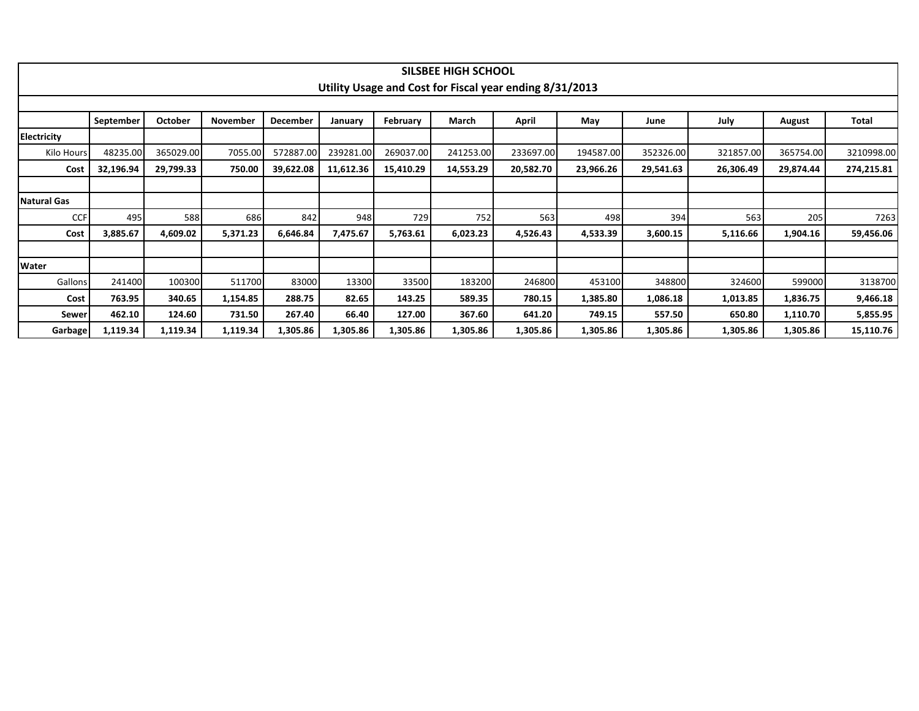|                    |                                  |           |          |           |           |           | <b>SILSBEE HIGH SCHOOL</b> |                                                         |           |           |           |           |            |  |
|--------------------|----------------------------------|-----------|----------|-----------|-----------|-----------|----------------------------|---------------------------------------------------------|-----------|-----------|-----------|-----------|------------|--|
|                    |                                  |           |          |           |           |           |                            | Utility Usage and Cost for Fiscal year ending 8/31/2013 |           |           |           |           |            |  |
|                    | <b>December</b><br>March<br>June |           |          |           |           |           |                            |                                                         |           |           |           |           |            |  |
|                    | September                        | October   | November |           | January   | February  |                            | April                                                   | May       |           | July      | August    | Total      |  |
| <b>Electricity</b> |                                  |           |          |           |           |           |                            |                                                         |           |           |           |           |            |  |
| Kilo Hours         | 48235.00                         | 365029.00 | 7055.00  | 572887.00 | 239281.00 | 269037.00 | 241253.00                  | 233697.00                                               | 194587.00 | 352326.00 | 321857.00 | 365754.00 | 3210998.00 |  |
| Cost               | 32,196.94                        | 29,799.33 | 750.00   | 39,622.08 | 11,612.36 | 15,410.29 | 14,553.29                  | 20,582.70                                               | 23,966.26 | 29,541.63 | 26,306.49 | 29,874.44 | 274,215.81 |  |
|                    |                                  |           |          |           |           |           |                            |                                                         |           |           |           |           |            |  |
| <b>Natural Gas</b> |                                  |           |          |           |           |           |                            |                                                         |           |           |           |           |            |  |
| <b>CCF</b>         | 495                              | 588       | 686      | 842       | 948       | 729       | 752                        | 563                                                     | 498       | 394       | 563       | 205       | 7263       |  |
| Cost               | 3,885.67                         | 4,609.02  | 5,371.23 | 6,646.84  | 7,475.67  | 5,763.61  | 6,023.23                   | 4,526.43                                                | 4,533.39  | 3,600.15  | 5,116.66  | 1,904.16  | 59,456.06  |  |
|                    |                                  |           |          |           |           |           |                            |                                                         |           |           |           |           |            |  |
| Water              |                                  |           |          |           |           |           |                            |                                                         |           |           |           |           |            |  |
| Gallons            | 241400                           | 100300    | 511700   | 83000     | 13300     | 33500     | 183200                     | 246800                                                  | 453100    | 348800    | 324600    | 599000    | 3138700    |  |
| Cost               | 763.95                           | 340.65    | 1,154.85 | 288.75    | 82.65     | 143.25    | 589.35                     | 780.15                                                  | 1,385.80  | 1,086.18  | 1,013.85  | 1,836.75  | 9,466.18   |  |
| Sewer              | 462.10                           | 124.60    | 731.50   | 267.40    | 66.40     | 127.00    | 367.60                     | 641.20                                                  | 749.15    | 557.50    | 650.80    | 1,110.70  | 5,855.95   |  |
| Garbage            | 1,119.34                         | 1,119.34  | 1,119.34 | 1,305.86  | 1,305.86  | 1,305.86  | 1,305.86                   | 1,305.86                                                | 1,305.86  | 1,305.86  | 1,305.86  | 1,305.86  | 15,110.76  |  |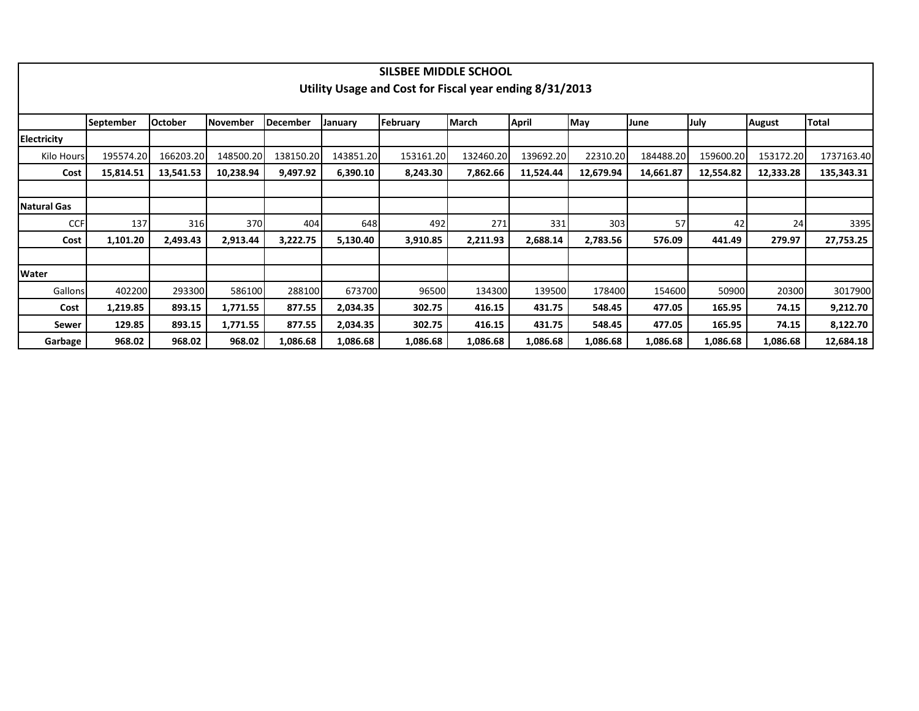|                    |           |                |                 |           |           | SILSBEE MIDDLE SCHOOL                                   |              |           |           |           |           |           |              |
|--------------------|-----------|----------------|-----------------|-----------|-----------|---------------------------------------------------------|--------------|-----------|-----------|-----------|-----------|-----------|--------------|
|                    |           |                |                 |           |           | Utility Usage and Cost for Fiscal year ending 8/31/2013 |              |           |           |           |           |           |              |
|                    |           |                |                 |           |           |                                                         |              |           |           |           |           |           |              |
|                    | September | <b>October</b> | <b>November</b> | December  | January   | February                                                | <b>March</b> | April     | May       | June      | July      | August    | <b>Total</b> |
| <b>Electricity</b> |           |                |                 |           |           |                                                         |              |           |           |           |           |           |              |
| Kilo Hours         | 195574.20 | 166203.20      | 148500.20       | 138150.20 | 143851.20 | 153161.20                                               | 132460.20    | 139692.20 | 22310.20  | 184488.20 | 159600.20 | 153172.20 | 1737163.40   |
| Cost               | 15,814.51 | 13,541.53      | 10,238.94       | 9,497.92  | 6,390.10  | 8,243.30                                                | 7,862.66     | 11,524.44 | 12,679.94 | 14,661.87 | 12,554.82 | 12,333.28 | 135,343.31   |
|                    |           |                |                 |           |           |                                                         |              |           |           |           |           |           |              |
| <b>Natural Gas</b> |           |                |                 |           |           |                                                         |              |           |           |           |           |           |              |
| <b>CCF</b>         | 137       | 316            | 370             | 404       | 648       | 492                                                     | 271          | 331       | 303       | 57        | 42        | 24        | 3395         |
| Cost               | 1,101.20  | 2,493.43       | 2,913.44        | 3,222.75  | 5,130.40  | 3,910.85                                                | 2,211.93     | 2,688.14  | 2,783.56  | 576.09    | 441.49    | 279.97    | 27,753.25    |
|                    |           |                |                 |           |           |                                                         |              |           |           |           |           |           |              |
| Water              |           |                |                 |           |           |                                                         |              |           |           |           |           |           |              |
| Gallons            | 402200    | 293300         | 586100          | 288100    | 673700    | 96500                                                   | 134300       | 139500    | 178400    | 154600    | 50900     | 20300     | 3017900      |
| Cost               | 1,219.85  | 893.15         | 1,771.55        | 877.55    | 2,034.35  | 302.75                                                  | 416.15       | 431.75    | 548.45    | 477.05    | 165.95    | 74.15     | 9,212.70     |
| Sewer              | 129.85    | 893.15         | 1,771.55        | 877.55    | 2,034.35  | 302.75                                                  | 416.15       | 431.75    | 548.45    | 477.05    | 165.95    | 74.15     | 8,122.70     |
| Garbage            | 968.02    | 968.02         | 968.02          | 1,086.68  | 1,086.68  | 1,086.68                                                | 1,086.68     | 1,086.68  | 1,086.68  | 1,086.68  | 1,086.68  | 1,086.68  | 12,684.18    |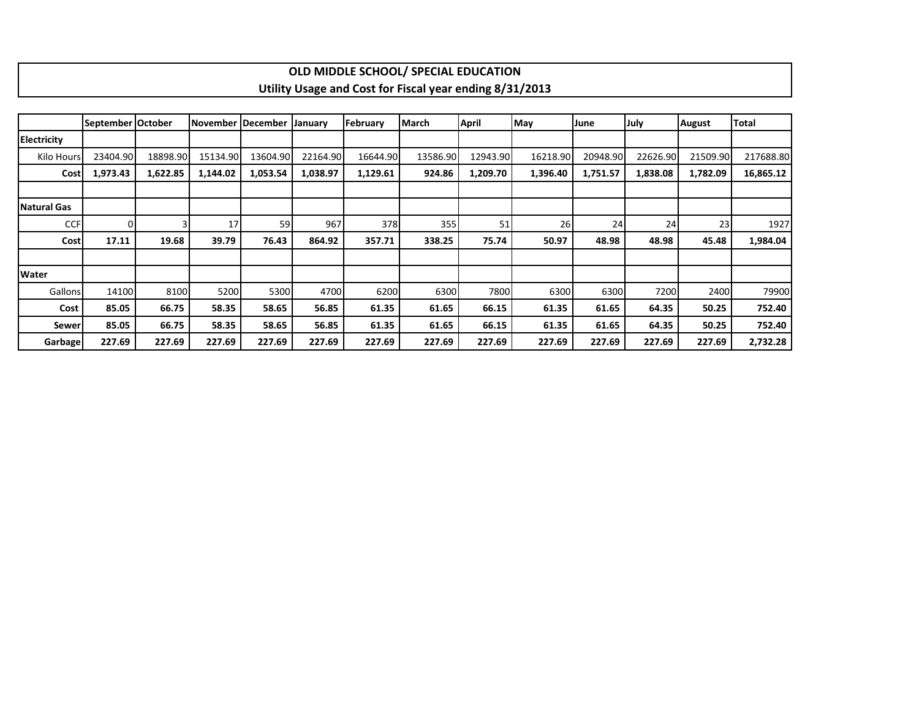|                    |                   |          |          |                   |                |          | OLD MIDDLE SCHOOL/ SPECIAL EDUCATION                    |              |          |          |             |                 |              |
|--------------------|-------------------|----------|----------|-------------------|----------------|----------|---------------------------------------------------------|--------------|----------|----------|-------------|-----------------|--------------|
|                    |                   |          |          |                   |                |          | Utility Usage and Cost for Fiscal year ending 8/31/2013 |              |          |          |             |                 |              |
|                    |                   |          |          |                   |                |          |                                                         |              |          |          |             |                 |              |
|                    | September October |          |          | November December | <b>January</b> | February | March                                                   | <b>April</b> | May      | June     | <b>July</b> | <b>August</b>   | <b>Total</b> |
| <b>Electricity</b> |                   |          |          |                   |                |          |                                                         |              |          |          |             |                 |              |
| Kilo Hours         | 23404.90          | 18898.90 | 15134.90 | 13604.90          | 22164.90       | 16644.90 | 13586.90                                                | 12943.90     | 16218.90 | 20948.90 | 22626.90    | 21509.90        | 217688.80    |
| <b>Cost</b>        | 1,973.43          | 1,622.85 | 1,144.02 | 1,053.54          | 1,038.97       | 1,129.61 | 924.86                                                  | 1,209.70     | 1,396.40 | 1,751.57 | 1,838.08    | 1,782.09        | 16,865.12    |
|                    |                   |          |          |                   |                |          |                                                         |              |          |          |             |                 |              |
| Natural Gas        |                   |          |          |                   |                |          |                                                         |              |          |          |             |                 |              |
| <b>CCF</b>         | $\Omega$          |          | 17       | 59                | 967            | 378      | 355                                                     | 51           | 26       | 24       | 24          | 23 <sub>l</sub> | 1927         |
| Cost               | 17.11             | 19.68    | 39.79    | 76.43             | 864.92         | 357.71   | 338.25                                                  | 75.74        | 50.97    | 48.98    | 48.98       | 45.48           | 1,984.04     |
|                    |                   |          |          |                   |                |          |                                                         |              |          |          |             |                 |              |
| <b>Water</b>       |                   |          |          |                   |                |          |                                                         |              |          |          |             |                 |              |
| Gallons            | 14100             | 8100     | 5200     | 5300              | 4700           | 6200     | 6300                                                    | 7800         | 6300     | 6300     | 7200        | 2400            | 79900        |
| Cost               | 85.05             | 66.75    | 58.35    | 58.65             | 56.85          | 61.35    | 61.65                                                   | 66.15        | 61.35    | 61.65    | 64.35       | 50.25           | 752.40       |
| Sewer              | 85.05             | 66.75    | 58.35    | 58.65             | 56.85          | 61.35    | 61.65                                                   | 66.15        | 61.35    | 61.65    | 64.35       | 50.25           | 752.40       |
| <b>Garbage</b>     | 227.69            | 227.69   | 227.69   | 227.69            | 227.69         | 227.69   | 227.69                                                  | 227.69       | 227.69   | 227.69   | 227.69      | 227.69          | 2,732.28     |

 $\mathbf{I}$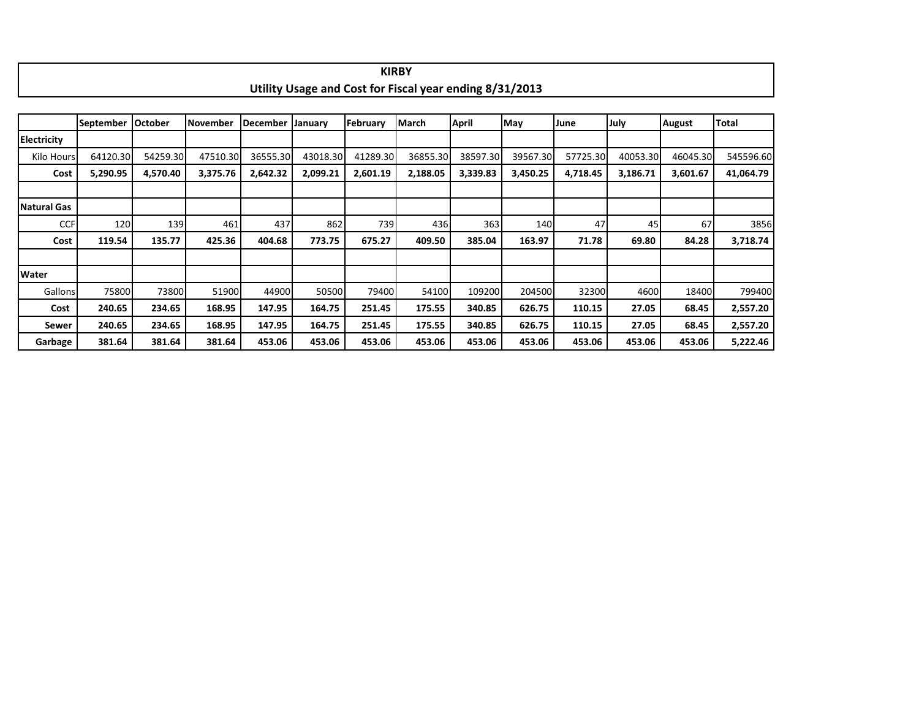|                    |                  |                |                 |                 |          |          | Utility Usage and Cost for Fiscal year ending 8/31/2013 |              |          |          |          |               |              |
|--------------------|------------------|----------------|-----------------|-----------------|----------|----------|---------------------------------------------------------|--------------|----------|----------|----------|---------------|--------------|
|                    |                  |                |                 |                 |          |          |                                                         |              |          |          |          |               |              |
|                    | <b>September</b> | <b>October</b> | <b>November</b> | <b>December</b> | January  | February | <b>March</b>                                            | <b>April</b> | May      | June     | July     | <b>August</b> | <b>Total</b> |
| <b>Electricity</b> |                  |                |                 |                 |          |          |                                                         |              |          |          |          |               |              |
| Kilo Hours         | 64120.30         | 54259.30       | 47510.30        | 36555.30        | 43018.30 | 41289.30 | 36855.30                                                | 38597.30     | 39567.30 | 57725.30 | 40053.30 | 46045.30      | 545596.60    |
| Cost               | 5,290.95         | 4,570.40       | 3,375.76        | 2,642.32        | 2,099.21 | 2,601.19 | 2,188.05                                                | 3,339.83     | 3,450.25 | 4,718.45 | 3,186.71 | 3,601.67      | 41,064.79    |
|                    |                  |                |                 |                 |          |          |                                                         |              |          |          |          |               |              |
| Natural Gas        |                  |                |                 |                 |          |          |                                                         |              |          |          |          |               |              |
| <b>CCF</b>         | 120              | 139            | 461             | 437             | 862      | 739      | 436                                                     | 363          | 140      | 47       | 45       | 67            | 3856         |
| Cost               | 119.54           | 135.77         | 425.36          | 404.68          | 773.75   | 675.27   | 409.50                                                  | 385.04       | 163.97   | 71.78    | 69.80    | 84.28         | 3,718.74     |
|                    |                  |                |                 |                 |          |          |                                                         |              |          |          |          |               |              |
| <b>Water</b>       |                  |                |                 |                 |          |          |                                                         |              |          |          |          |               |              |
| Gallons            | 75800            | 73800          | 51900           | 44900           | 50500    | 79400    | 54100                                                   | 109200       | 204500   | 32300    | 4600     | 18400         | 799400       |
| Cost               | 240.65           | 234.65         | 168.95          | 147.95          | 164.75   | 251.45   | 175.55                                                  | 340.85       | 626.75   | 110.15   | 27.05    | 68.45         | 2,557.20     |
| Sewer              | 240.65           | 234.65         | 168.95          | 147.95          | 164.75   | 251.45   | 175.55                                                  | 340.85       | 626.75   | 110.15   | 27.05    | 68.45         | 2,557.20     |
| Garbage            | 381.64           | 381.64         | 381.64          | 453.06          | 453.06   | 453.06   | 453.06                                                  | 453.06       | 453.06   | 453.06   | 453.06   | 453.06        | 5,222.46     |

**KIRBY**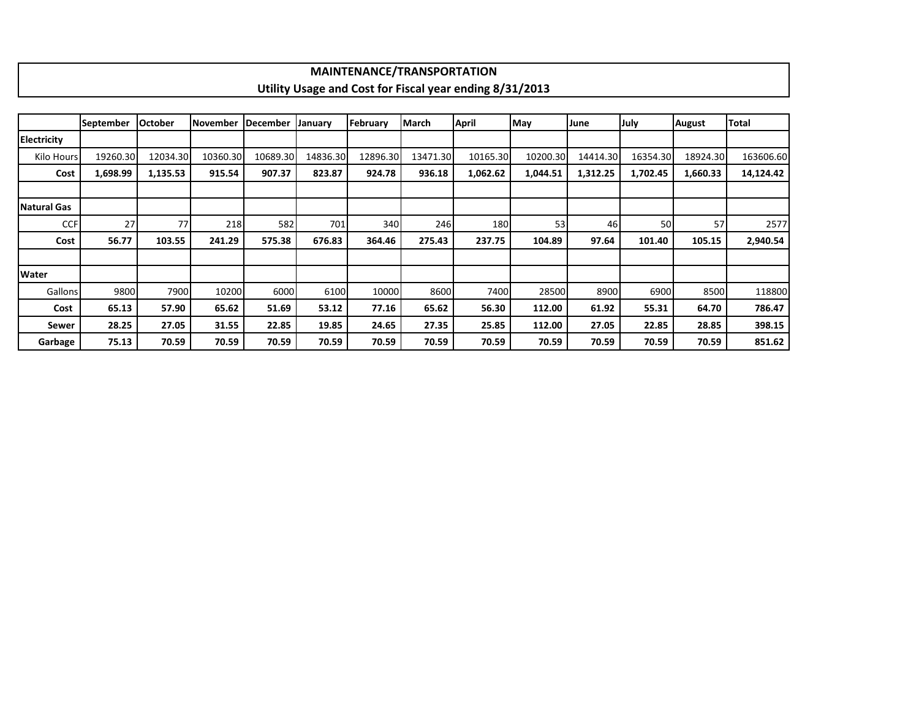|                    |                  |                |                 |          |          | <b>MAINTENANCE/TRANSPORTATION</b> |          |                                                         |          |          |          |               |           |
|--------------------|------------------|----------------|-----------------|----------|----------|-----------------------------------|----------|---------------------------------------------------------|----------|----------|----------|---------------|-----------|
|                    |                  |                |                 |          |          |                                   |          | Utility Usage and Cost for Fiscal year ending 8/31/2013 |          |          |          |               |           |
|                    |                  |                |                 |          |          |                                   |          |                                                         |          |          |          |               |           |
|                    | <b>September</b> | <b>October</b> | <b>November</b> | December | January  | February                          | March    | <b>April</b>                                            | May      | June     | July     | <b>August</b> | Total     |
| <b>Electricity</b> |                  |                |                 |          |          |                                   |          |                                                         |          |          |          |               |           |
| Kilo Hours         | 19260.30         | 12034.30       | 10360.30        | 10689.30 | 14836.30 | 12896.30                          | 13471.30 | 10165.30                                                | 10200.30 | 14414.30 | 16354.30 | 18924.30      | 163606.60 |
| Cost               | 1,698.99         | 1,135.53       | 915.54          | 907.37   | 823.87   | 924.78                            | 936.18   | 1,062.62                                                | 1,044.51 | 1,312.25 | 1,702.45 | 1,660.33      | 14,124.42 |
|                    |                  |                |                 |          |          |                                   |          |                                                         |          |          |          |               |           |
| Natural Gas        |                  |                |                 |          |          |                                   |          |                                                         |          |          |          |               |           |
| <b>CCF</b>         | 27               | 77I            | 218             | 582      | 701      | 340                               | 246      | 180                                                     | 53       | 46       | 50       | 57            | 2577      |
| Cost               | 56.77            | 103.55         | 241.29          | 575.38   | 676.83   | 364.46                            | 275.43   | 237.75                                                  | 104.89   | 97.64    | 101.40   | 105.15        | 2,940.54  |
|                    |                  |                |                 |          |          |                                   |          |                                                         |          |          |          |               |           |
| Water              |                  |                |                 |          |          |                                   |          |                                                         |          |          |          |               |           |
| Gallons            | 9800             | 7900           | 10200           | 6000     | 6100     | 10000                             | 8600     | 7400                                                    | 28500    | 8900     | 6900     | 8500          | 118800    |
| Cost               | 65.13            | 57.90          | 65.62           | 51.69    | 53.12    | 77.16                             | 65.62    | 56.30                                                   | 112.00   | 61.92    | 55.31    | 64.70         | 786.47    |
| Sewer              | 28.25            | 27.05          | 31.55           | 22.85    | 19.85    | 24.65                             | 27.35    | 25.85                                                   | 112.00   | 27.05    | 22.85    | 28.85         | 398.15    |
| Garbage            | 75.13            | 70.59          | 70.59           | 70.59    | 70.59    | 70.59                             | 70.59    | 70.59                                                   | 70.59    | 70.59    | 70.59    | 70.59         | 851.62    |

 $\mathbf{I}$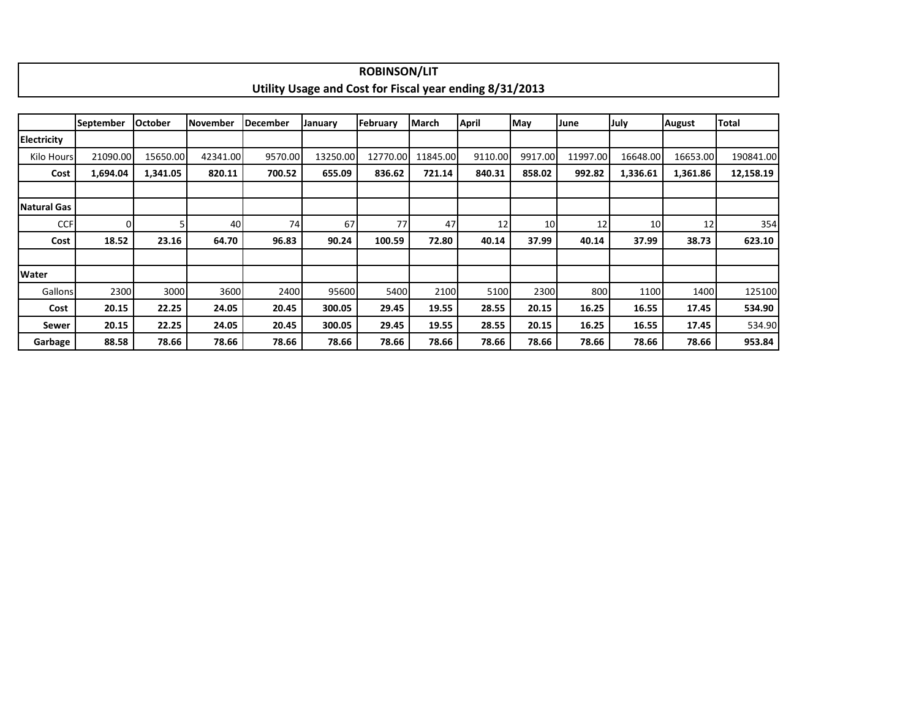|              |                  |                |                 |                 |                                                         | <b>ROBINSON/LIT</b> |              |         |                 |          |                 |          |              |  |  |
|--------------|------------------|----------------|-----------------|-----------------|---------------------------------------------------------|---------------------|--------------|---------|-----------------|----------|-----------------|----------|--------------|--|--|
|              |                  |                |                 |                 | Utility Usage and Cost for Fiscal year ending 8/31/2013 |                     |              |         |                 |          |                 |          |              |  |  |
|              |                  |                |                 |                 |                                                         |                     |              |         |                 |          |                 |          |              |  |  |
|              | <b>September</b> | <b>October</b> | <b>November</b> | <b>December</b> | January                                                 | February            | <b>March</b> | April   | May             | June     | July            | August   | <b>Total</b> |  |  |
| Electricity  |                  |                |                 |                 |                                                         |                     |              |         |                 |          |                 |          |              |  |  |
| Kilo Hours   | 21090.00         | 15650.00       | 42341.00        | 9570.00         | 13250.00                                                | 12770.00            | 11845.00     | 9110.00 | 9917.00         | 11997.00 | 16648.00        | 16653.00 | 190841.00    |  |  |
| Cost         | 1,694.04         | 1,341.05       | 820.11          | 700.52          | 655.09                                                  | 836.62              | 721.14       | 840.31  | 858.02          | 992.82   | 1,336.61        | 1,361.86 | 12,158.19    |  |  |
|              |                  |                |                 |                 |                                                         |                     |              |         |                 |          |                 |          |              |  |  |
| Natural Gas  |                  |                |                 |                 |                                                         |                     |              |         |                 |          |                 |          |              |  |  |
| <b>CCF</b>   |                  |                | 40              | 74              | 67                                                      | 77                  | 47           | 12      | 10 <sup>1</sup> | 12       | 10 <sup>1</sup> | 12       | 354          |  |  |
| Cost         | 18.52            | 23.16          | 64.70           | 96.83           | 90.24                                                   | 100.59              | 72.80        | 40.14   | 37.99           | 40.14    | 37.99           | 38.73    | 623.10       |  |  |
|              |                  |                |                 |                 |                                                         |                     |              |         |                 |          |                 |          |              |  |  |
| <b>Water</b> |                  |                |                 |                 |                                                         |                     |              |         |                 |          |                 |          |              |  |  |
| Gallons      | 2300             | 3000           | 3600            | 2400            | 95600                                                   | 5400                | 2100         | 5100    | 2300            | 800      | 1100            | 1400     | 125100       |  |  |
| Cost         | 20.15            | 22.25          | 24.05           | 20.45           | 300.05                                                  | 29.45               | 19.55        | 28.55   | 20.15           | 16.25    | 16.55           | 17.45    | 534.90       |  |  |
| Sewer        | 20.15            | 22.25          | 24.05           | 20.45           | 300.05                                                  | 29.45               | 19.55        | 28.55   | 20.15           | 16.25    | 16.55           | 17.45    | 534.90       |  |  |
| Garbage      | 88.58            | 78.66          | 78.66           | 78.66           | 78.66                                                   | 78.66               | 78.66        | 78.66   | 78.66           | 78.66    | 78.66           | 78.66    | 953.84       |  |  |

Е

٦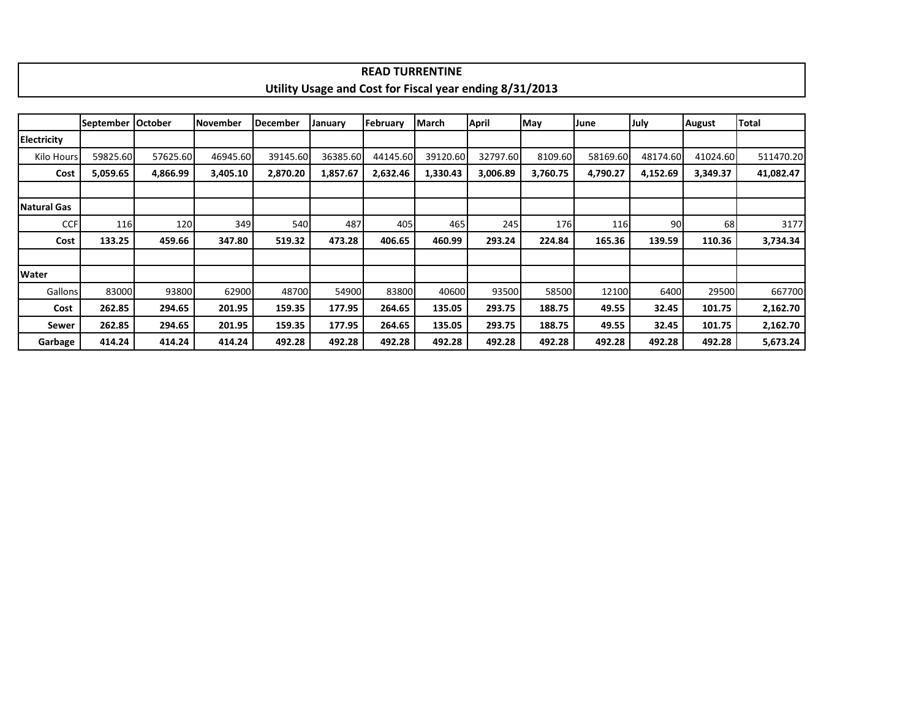|                    |                     |          |          |                 |                                                         | <b>READ TURRENTINE</b> |          |          |          |          |          |               |           |  |  |
|--------------------|---------------------|----------|----------|-----------------|---------------------------------------------------------|------------------------|----------|----------|----------|----------|----------|---------------|-----------|--|--|
|                    |                     |          |          |                 | Utility Usage and Cost for Fiscal year ending 8/31/2013 |                        |          |          |          |          |          |               |           |  |  |
|                    |                     |          |          |                 |                                                         |                        |          |          |          |          |          |               |           |  |  |
|                    | September   October |          | November | <b>December</b> | January                                                 | February               | March    | April    | May      | June     | July     | <b>August</b> | Total     |  |  |
| <b>Electricity</b> |                     |          |          |                 |                                                         |                        |          |          |          |          |          |               |           |  |  |
| Kilo Hours         | 59825.60            | 57625.60 | 46945.60 | 39145.60        | 36385.60                                                | 44145.60               | 39120.60 | 32797.60 | 8109.60  | 58169.60 | 48174.60 | 41024.60      | 511470.20 |  |  |
| Cost               | 5,059.65            | 4,866.99 | 3,405.10 | 2,870.20        | 1,857.67                                                | 2,632.46               | 1,330.43 | 3,006.89 | 3,760.75 | 4,790.27 | 4,152.69 | 3,349.37      | 41,082.47 |  |  |
|                    |                     |          |          |                 |                                                         |                        |          |          |          |          |          |               |           |  |  |
| Natural Gas        |                     |          |          |                 |                                                         |                        |          |          |          |          |          |               |           |  |  |
| <b>CCF</b>         | 116                 | 120      | 349      | 540             | 487                                                     | 405                    | 465      | 245      | 176      | 116      | 90       | 68            | 3177      |  |  |
| Cost               | 133.25              | 459.66   | 347.80   | 519.32          | 473.28                                                  | 406.65                 | 460.99   | 293.24   | 224.84   | 165.36   | 139.59   | 110.36        | 3,734.34  |  |  |
|                    |                     |          |          |                 |                                                         |                        |          |          |          |          |          |               |           |  |  |
| <b>Water</b>       |                     |          |          |                 |                                                         |                        |          |          |          |          |          |               |           |  |  |
| <b>Gallons</b>     | 83000               | 93800    | 62900    | 48700           | 54900                                                   | 83800                  | 40600    | 93500    | 58500    | 12100    | 6400     | 29500         | 667700    |  |  |
| Cost               | 262.85              | 294.65   | 201.95   | 159.35          | 177.95                                                  | 264.65                 | 135.05   | 293.75   | 188.75   | 49.55    | 32.45    | 101.75        | 2,162.70  |  |  |
| Sewer              | 262.85              | 294.65   | 201.95   | 159.35          | 177.95                                                  | 264.65                 | 135.05   | 293.75   | 188.75   | 49.55    | 32.45    | 101.75        | 2,162.70  |  |  |
| Garbage            | 414.24              | 414.24   | 414.24   | 492.28          | 492.28                                                  | 492.28                 | 492.28   | 492.28   | 492.28   | 492.28   | 492.28   | 492.28        | 5,673.24  |  |  |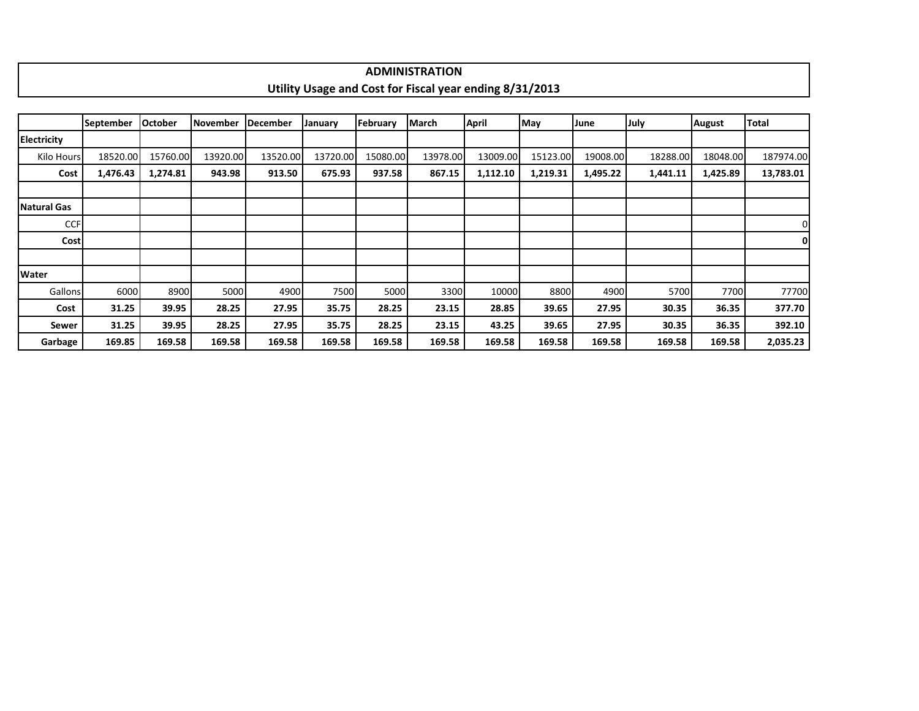|                    |                  |                |          |          |          |          | <b>ADMINISTRATION</b>                                   |          |          |          |             |               |              |  |
|--------------------|------------------|----------------|----------|----------|----------|----------|---------------------------------------------------------|----------|----------|----------|-------------|---------------|--------------|--|
|                    |                  |                |          |          |          |          | Utility Usage and Cost for Fiscal year ending 8/31/2013 |          |          |          |             |               |              |  |
|                    |                  |                |          |          |          |          |                                                         |          |          |          |             |               |              |  |
|                    | <b>September</b> | <b>October</b> | November | December | January  | February | March                                                   | April    | May      | June     | <b>July</b> | <b>August</b> | <b>Total</b> |  |
| <b>Electricity</b> |                  |                |          |          |          |          |                                                         |          |          |          |             |               |              |  |
| Kilo Hours         | 18520.00         | 15760.00       | 13920.00 | 13520.00 | 13720.00 | 15080.00 | 13978.00                                                | 13009.00 | 15123.00 | 19008.00 | 18288.00    | 18048.00      | 187974.00    |  |
| Cost               | 1,476.43         | 1,274.81       | 943.98   | 913.50   | 675.93   | 937.58   | 867.15                                                  | 1,112.10 | 1,219.31 | 1,495.22 | 1,441.11    | 1,425.89      | 13,783.01    |  |
|                    |                  |                |          |          |          |          |                                                         |          |          |          |             |               |              |  |
| Natural Gas        |                  |                |          |          |          |          |                                                         |          |          |          |             |               |              |  |
| <b>CCF</b>         |                  |                |          |          |          |          |                                                         |          |          |          |             |               |              |  |
| <b>Cost</b>        |                  |                |          |          |          |          |                                                         |          |          |          |             |               | 0            |  |
|                    |                  |                |          |          |          |          |                                                         |          |          |          |             |               |              |  |
| <b>Water</b>       |                  |                |          |          |          |          |                                                         |          |          |          |             |               |              |  |
| Gallons            | 6000             | 8900           | 5000     | 4900     | 7500     | 5000     | 3300                                                    | 10000    | 8800     | 4900     | 5700        | 7700          | 77700        |  |
| Cost               | 31.25            | 39.95          | 28.25    | 27.95    | 35.75    | 28.25    | 23.15                                                   | 28.85    | 39.65    | 27.95    | 30.35       | 36.35         | 377.70       |  |
| Sewer              | 31.25            | 39.95          | 28.25    | 27.95    | 35.75    | 28.25    | 23.15                                                   | 43.25    | 39.65    | 27.95    | 30.35       | 36.35         | 392.10       |  |
| Garbage            | 169.85           | 169.58         | 169.58   | 169.58   | 169.58   | 169.58   | 169.58                                                  | 169.58   | 169.58   | 169.58   | 169.58      | 169.58        | 2,035.23     |  |

ா

٦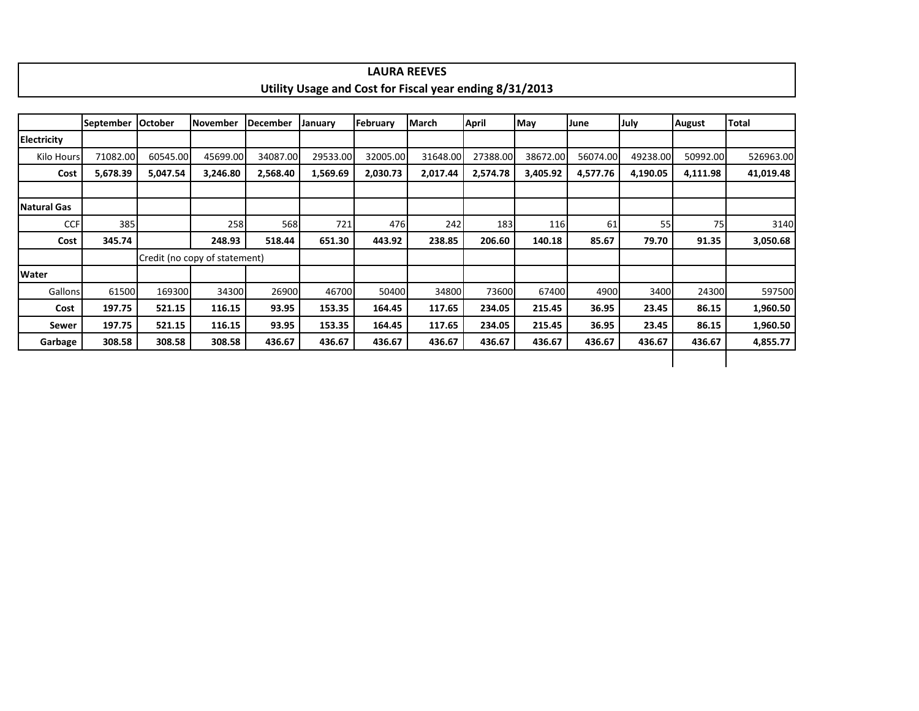|                    |                  |                |                               |                 |          |          | <b>LAURA REEVES</b>                                     |              |          |          |          |          |           |  |  |
|--------------------|------------------|----------------|-------------------------------|-----------------|----------|----------|---------------------------------------------------------|--------------|----------|----------|----------|----------|-----------|--|--|
|                    |                  |                |                               |                 |          |          | Utility Usage and Cost for Fiscal year ending 8/31/2013 |              |          |          |          |          |           |  |  |
|                    |                  |                |                               |                 |          |          |                                                         |              |          |          |          |          |           |  |  |
|                    | <b>September</b> | <b>October</b> | <b>November</b>               | <b>December</b> | January  | February | March                                                   | <b>April</b> | May      | June     | July     | August   | Total     |  |  |
| <b>Electricity</b> |                  |                |                               |                 |          |          |                                                         |              |          |          |          |          |           |  |  |
| Kilo Hours         | 71082.00         | 60545.00       | 45699.00                      | 34087.00        | 29533.00 | 32005.00 | 31648.00                                                | 27388.00     | 38672.00 | 56074.00 | 49238.00 | 50992.00 | 526963.00 |  |  |
| Cost               | 5,678.39         | 5,047.54       | 3,246.80                      | 2,568.40        | 1,569.69 | 2,030.73 | 2,017.44                                                | 2,574.78     | 3,405.92 | 4,577.76 | 4,190.05 | 4,111.98 | 41,019.48 |  |  |
|                    |                  |                |                               |                 |          |          |                                                         |              |          |          |          |          |           |  |  |
| <b>Natural Gas</b> |                  |                |                               |                 |          |          |                                                         |              |          |          |          |          |           |  |  |
| <b>CCF</b>         | 385              |                | 258                           | 568             | 721      | 476      | 242                                                     | 183          | 116      | 61       | 55       | 75       | 3140      |  |  |
| Cost               | 345.74           |                | 248.93                        | 518.44          | 651.30   | 443.92   | 238.85                                                  | 206.60       | 140.18   | 85.67    | 79.70    | 91.35    | 3,050.68  |  |  |
|                    |                  |                | Credit (no copy of statement) |                 |          |          |                                                         |              |          |          |          |          |           |  |  |
| <b>Water</b>       |                  |                |                               |                 |          |          |                                                         |              |          |          |          |          |           |  |  |
| Gallons            | 61500            | 169300         | 34300                         | 26900           | 46700    | 50400    | 34800                                                   | 73600        | 67400    | 4900     | 3400     | 24300    | 597500    |  |  |
| Cost               | 197.75           | 521.15         | 116.15                        | 93.95           | 153.35   | 164.45   | 117.65                                                  | 234.05       | 215.45   | 36.95    | 23.45    | 86.15    | 1,960.50  |  |  |
| Sewer              | 197.75           | 521.15         | 116.15                        | 93.95           | 153.35   | 164.45   | 117.65                                                  | 234.05       | 215.45   | 36.95    | 23.45    | 86.15    | 1,960.50  |  |  |
| Garbage            | 308.58           | 308.58         | 308.58                        | 436.67          | 436.67   | 436.67   | 436.67                                                  | 436.67       | 436.67   | 436.67   | 436.67   | 436.67   | 4,855.77  |  |  |
|                    |                  |                |                               |                 |          |          |                                                         |              |          |          |          |          |           |  |  |

 $\Gamma$